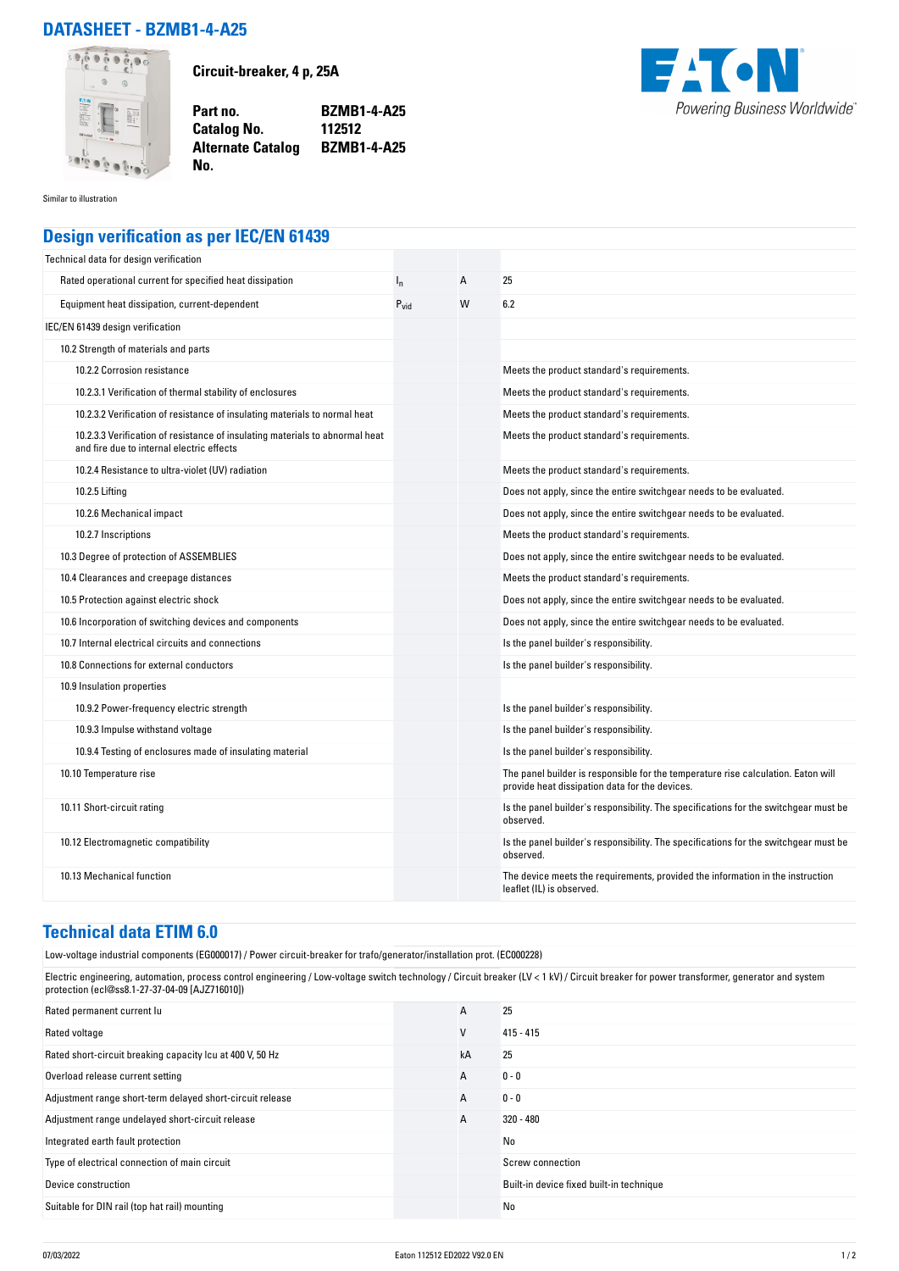## **DATASHEET - BZMB1-4-A25**



**Circuit-breaker, 4 p, 25A**

**Part no. BZMB1-4-A25 Catalog No. Alternate Catalog BZMB1-4-A25**



Similar to illustration

## **Design verification as per IEC/EN 61439**

**No.** 

| Technical data for design verification                                                                                    |           |   |                                                                                                                                     |
|---------------------------------------------------------------------------------------------------------------------------|-----------|---|-------------------------------------------------------------------------------------------------------------------------------------|
| Rated operational current for specified heat dissipation                                                                  | $I_{n}$   | A | 25                                                                                                                                  |
| Equipment heat dissipation, current-dependent                                                                             | $P_{vid}$ | W | 6.2                                                                                                                                 |
| IEC/EN 61439 design verification                                                                                          |           |   |                                                                                                                                     |
| 10.2 Strength of materials and parts                                                                                      |           |   |                                                                                                                                     |
| 10.2.2 Corrosion resistance                                                                                               |           |   | Meets the product standard's requirements.                                                                                          |
| 10.2.3.1 Verification of thermal stability of enclosures                                                                  |           |   | Meets the product standard's requirements.                                                                                          |
| 10.2.3.2 Verification of resistance of insulating materials to normal heat                                                |           |   | Meets the product standard's requirements.                                                                                          |
| 10.2.3.3 Verification of resistance of insulating materials to abnormal heat<br>and fire due to internal electric effects |           |   | Meets the product standard's requirements.                                                                                          |
| 10.2.4 Resistance to ultra-violet (UV) radiation                                                                          |           |   | Meets the product standard's requirements.                                                                                          |
| 10.2.5 Lifting                                                                                                            |           |   | Does not apply, since the entire switchgear needs to be evaluated.                                                                  |
| 10.2.6 Mechanical impact                                                                                                  |           |   | Does not apply, since the entire switchgear needs to be evaluated.                                                                  |
| 10.2.7 Inscriptions                                                                                                       |           |   | Meets the product standard's requirements.                                                                                          |
| 10.3 Degree of protection of ASSEMBLIES                                                                                   |           |   | Does not apply, since the entire switchgear needs to be evaluated.                                                                  |
| 10.4 Clearances and creepage distances                                                                                    |           |   | Meets the product standard's requirements.                                                                                          |
| 10.5 Protection against electric shock                                                                                    |           |   | Does not apply, since the entire switchgear needs to be evaluated.                                                                  |
| 10.6 Incorporation of switching devices and components                                                                    |           |   | Does not apply, since the entire switchgear needs to be evaluated.                                                                  |
| 10.7 Internal electrical circuits and connections                                                                         |           |   | Is the panel builder's responsibility.                                                                                              |
| 10.8 Connections for external conductors                                                                                  |           |   | Is the panel builder's responsibility.                                                                                              |
| 10.9 Insulation properties                                                                                                |           |   |                                                                                                                                     |
| 10.9.2 Power-frequency electric strength                                                                                  |           |   | Is the panel builder's responsibility.                                                                                              |
| 10.9.3 Impulse withstand voltage                                                                                          |           |   | Is the panel builder's responsibility.                                                                                              |
| 10.9.4 Testing of enclosures made of insulating material                                                                  |           |   | Is the panel builder's responsibility.                                                                                              |
| 10.10 Temperature rise                                                                                                    |           |   | The panel builder is responsible for the temperature rise calculation. Eaton will<br>provide heat dissipation data for the devices. |
| 10.11 Short-circuit rating                                                                                                |           |   | Is the panel builder's responsibility. The specifications for the switchgear must be<br>observed.                                   |
| 10.12 Electromagnetic compatibility                                                                                       |           |   | Is the panel builder's responsibility. The specifications for the switchgear must be<br>observed.                                   |
| 10.13 Mechanical function                                                                                                 |           |   | The device meets the requirements, provided the information in the instruction<br>leaflet (IL) is observed.                         |

## **Technical data ETIM 6.0**

Low-voltage industrial components (EG000017) / Power circuit-breaker for trafo/generator/installation prot. (EC000228)

Electric engineering, automation, process control engineering / Low-voltage switch technology / Circuit breaker (LV < 1 kV) / Circuit breaker for power transformer, generator and system protection (ecl@ss8.1-27-37-04-09 [AJZ716010])

| Rated permanent current lu                                | A  | 25                                       |
|-----------------------------------------------------------|----|------------------------------------------|
| Rated voltage                                             | V  | $415 - 415$                              |
| Rated short-circuit breaking capacity Icu at 400 V, 50 Hz | kA | 25                                       |
| Overload release current setting                          | A  | $0 - 0$                                  |
| Adjustment range short-term delayed short-circuit release | A  | $0 - 0$                                  |
| Adjustment range undelayed short-circuit release          | А  | $320 - 480$                              |
| Integrated earth fault protection                         |    | No                                       |
| Type of electrical connection of main circuit             |    | Screw connection                         |
| Device construction                                       |    | Built-in device fixed built-in technique |
| Suitable for DIN rail (top hat rail) mounting             |    | No                                       |